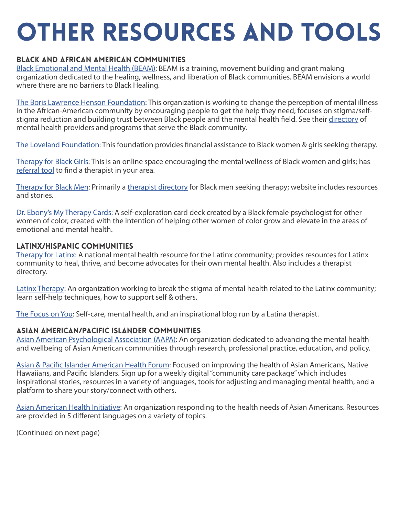# Other Resources and tools

## Black and African American Communities

[Black Emotional and Mental Health \(BEAM\):](https://www.beam.community/) BEAM is a training, movement building and grant making organization dedicated to the healing, wellness, and liberation of Black communities. BEAM envisions a world where there are no barriers to Black Healing.

[The Boris Lawrence Henson Foundation:](https://borislhensonfoundation.org/) This organization is working to change the perception of mental illness in the African-American community by encouraging people to get the help they need; focuses on stigma/selfstigma reduction and building trust between Black people and the mental health field. See their [directory](https://borislhensonfoundation.org/resource-guide/) of mental health providers and programs that serve the Black community.

[The Loveland Foundation](https://thelovelandfoundation.org/): This foundation provides financial assistance to Black women & girls seeking therapy.

[Therapy for Black Girls:](https://therapyforblackgirls.com/) This is an online space encouraging the mental wellness of Black women and girls; has [referral tool](https://providers.therapyforblackgirls.com/) to find a therapist in your area.

[Therapy for Black Men:](https://therapyforblackmen.org/) Primarily a [therapist directory](https://therapyforblackmen.org/find-a-therapist/) for Black men seeking therapy; website includes resources and stories.

[Dr. Ebony's My Therapy Cards:](https://www.mytherapycards.com/?r_done=1) A self-exploration card deck created by a Black female psychologist for other women of color, created with the intention of helping other women of color grow and elevate in the areas of emotional and mental health.

#### Latinx/Hispanic Communities

[Therapy for Latinx](https://www.therapyforlatinx.com/): A national mental health resource for the Latinx community; provides resources for Latinx community to heal, thrive, and become advocates for their own mental health. Also includes a therapist directory.

[Latinx Therapy:](https://latinxtherapy.com/) An organization working to break the stigma of mental health related to the Latinx community; learn self-help techniques, how to support self & others.

[The Focus on You:](http://thefocusonyou.com/) Self-care, mental health, and an inspirational blog run by a Latina therapist.

#### Asian American/Pacific Islander Communities

[Asian American Psychological Association \(AAPA\):](https://aapaonline.org/) An organization dedicated to advancing the mental health and wellbeing of Asian American communities through research, professional practice, education, and policy.

[Asian & Pacific Islander American Health Forum:](https://www.apiahf.org/) Focused on improving the health of Asian Americans, Native Hawaiians, and Pacific Islanders. Sign up for a weekly digital "community care package" which includes inspirational stories, resources in a variety of languages, tools for adjusting and managing mental health, and a platform to share your story/connect with others.

[Asian American Health Initiative:](https://aahiinfo.org/aahi-resources/) An organization responding to the health needs of Asian Americans. Resources are provided in 5 different languages on a variety of topics.

(Continued on next page)